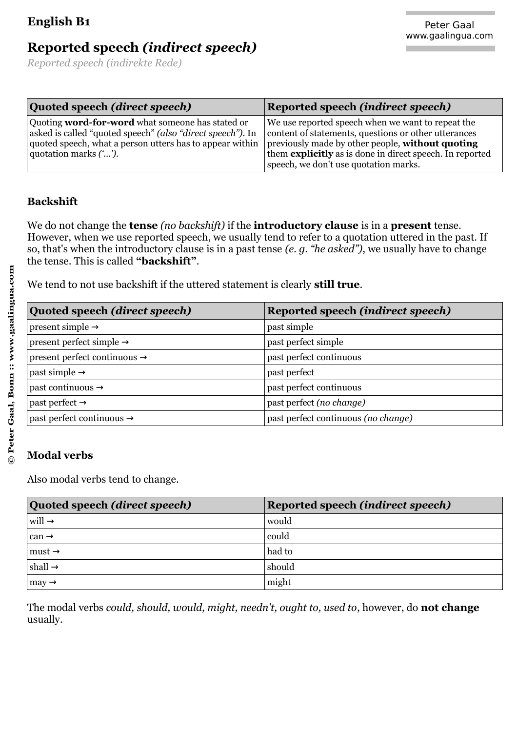| Quoted speech (direct speech)                                                                                                                                                                              | <b>Reported speech (indirect speech)</b>                                                                                                                                                                                                                           |
|------------------------------------------------------------------------------------------------------------------------------------------------------------------------------------------------------------|--------------------------------------------------------------------------------------------------------------------------------------------------------------------------------------------------------------------------------------------------------------------|
| Quoting <b>word-for-word</b> what someone has stated or<br>asked is called "quoted speech" (also "direct speech"). In<br>quoted speech, what a person utters has to appear within<br>quotation marks (""). | We use reported speech when we want to repeat the<br>content of statements, questions or other utterances<br>previously made by other people, without quoting<br>them explicitly as is done in direct speech. In reported<br>speech, we don't use quotation marks. |

### **Backshift**

We do not change the **tense** *(no backshift)* if the **introductory clause** is in a **present** tense. However, when we use reported speech, we usually tend to refer to a quotation uttered in the past. If so, that's when the introductory clause is in a past tense *(e. g. "he asked")*, we usually have to change the tense. This is called **"backshift"**.

We tend to not use backshift if the uttered statement is clearly **still true**.

| Quoted speech (direct speech)            | Reported speech (indirect speech)   |
|------------------------------------------|-------------------------------------|
| present simple $\rightarrow$             | past simple                         |
| present perfect simple $\rightarrow$     | past perfect simple                 |
| present perfect continuous $\rightarrow$ | past perfect continuous             |
| past simple $\rightarrow$                | past perfect                        |
| past continuous $\rightarrow$            | past perfect continuous             |
| past perfect $\rightarrow$               | past perfect (no change)            |
| past perfect continuous $\rightarrow$    | past perfect continuous (no change) |

#### **Modal verbs**

Also modal verbs tend to change.

| Quoted speech (direct speech) | <b>Reported speech (indirect speech)</b> |
|-------------------------------|------------------------------------------|
| $ $ will $\rightarrow$        | would                                    |
| $ can \rightarrow$            | could                                    |
| $\vert$ must $\rightarrow$    | had to                                   |
| $ \text{shall} \rightarrow$   | should                                   |
| $\vert$ may $\rightarrow$     | might                                    |

The modal verbs *could, should, would, might, needn't, ought to, used to*, however, do **not change** usually.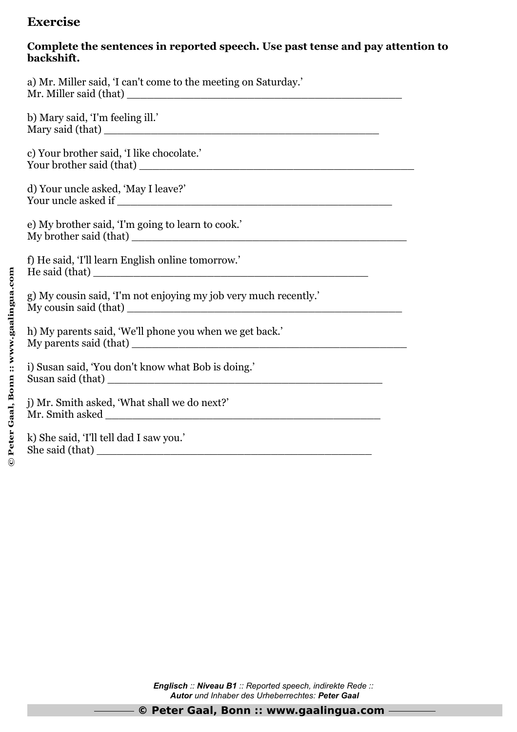# **Exercise**

### **Complete the sentences in reported speech. Use past tense and pay attention to backshift.**

| a) Mr. Miller said, 'I can't come to the meeting on Saturday.'              |
|-----------------------------------------------------------------------------|
| b) Mary said, 'I'm feeling ill.'                                            |
| c) Your brother said, 'I like chocolate.'                                   |
| d) Your uncle asked, 'May I leave?'                                         |
| e) My brother said, 'I'm going to learn to cook.'<br>My brother said (that) |
| f) He said, 'I'll learn English online tomorrow.'                           |
| g) My cousin said, 'I'm not enjoying my job very much recently.'            |
| h) My parents said, 'We'll phone you when we get back.'                     |
| i) Susan said, 'You don't know what Bob is doing.'<br>Susan said (that)     |
| j) Mr. Smith asked, 'What shall we do next?'                                |
| k) She said, 'I'll tell dad I saw you.'<br>She said (that)                  |

*Englisch :: Niveau B1 :: Reported speech, indirekte Rede :: Autor und Inhaber des Urheberrechtes: Peter Gaal*